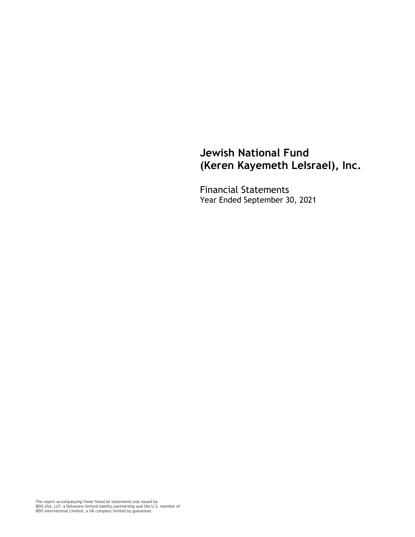Financial Statements Year Ended September 30, 2021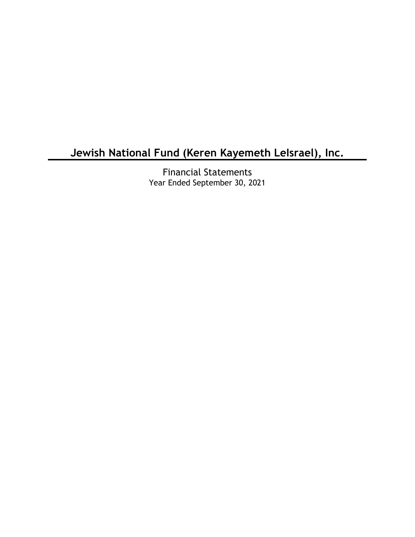Financial Statements Year Ended September 30, 2021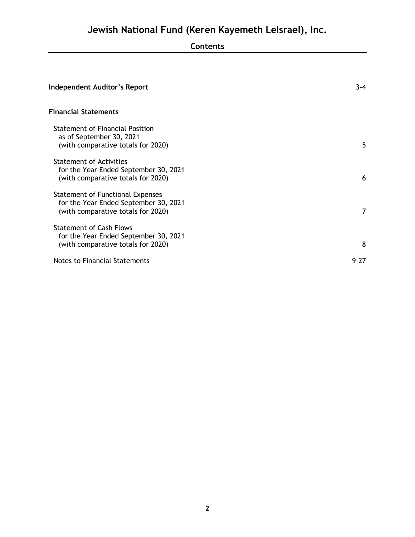# **Contents**

| <b>Independent Auditor's Report</b>                                                                             | $3 - 4$ |
|-----------------------------------------------------------------------------------------------------------------|---------|
| <b>Financial Statements</b>                                                                                     |         |
| <b>Statement of Financial Position</b><br>as of September 30, 2021<br>(with comparative totals for 2020)        | 5       |
| <b>Statement of Activities</b><br>for the Year Ended September 30, 2021<br>(with comparative totals for 2020)   | 6       |
| Statement of Functional Expenses<br>for the Year Ended September 30, 2021<br>(with comparative totals for 2020) | 7       |
| <b>Statement of Cash Flows</b><br>for the Year Ended September 30, 2021<br>(with comparative totals for 2020)   | 8       |
| Notes to Financial Statements                                                                                   | 9-27    |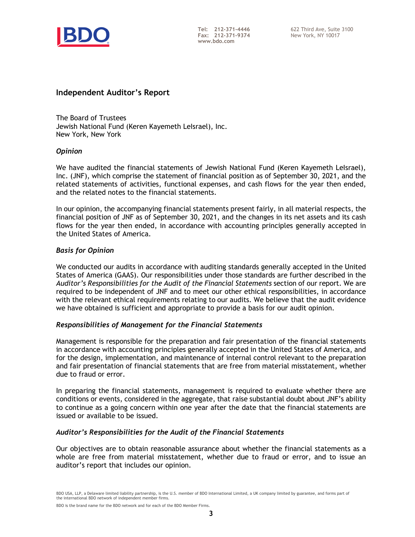

#### **Independent Auditor's Report**

The Board of Trustees Jewish National Fund (Keren Kayemeth LeIsrael), Inc. New York, New York

#### *Opinion*

We have audited the financial statements of Jewish National Fund (Keren Kayemeth LeIsrael), Inc. (JNF), which comprise the statement of financial position as of September 30, 2021, and the related statements of activities, functional expenses, and cash flows for the year then ended, and the related notes to the financial statements.

In our opinion, the accompanying financial statements present fairly, in all material respects, the financial position of JNF as of September 30, 2021, and the changes in its net assets and its cash flows for the year then ended, in accordance with accounting principles generally accepted in the United States of America.

#### *Basis for Opinion*

We conducted our audits in accordance with auditing standards generally accepted in the United States of America (GAAS). Our responsibilities under those standards are further described in the *Auditor's Responsibilities for the Audit of the Financial Statements* section of our report. We are required to be independent of JNF and to meet our other ethical responsibilities, in accordance with the relevant ethical requirements relating to our audits. We believe that the audit evidence we have obtained is sufficient and appropriate to provide a basis for our audit opinion.

#### *Responsibilities of Management for the Financial Statements*

Management is responsible for the preparation and fair presentation of the financial statements in accordance with accounting principles generally accepted in the United States of America, and for the design, implementation, and maintenance of internal control relevant to the preparation and fair presentation of financial statements that are free from material misstatement, whether due to fraud or error.

In preparing the financial statements, management is required to evaluate whether there are conditions or events, considered in the aggregate, that raise substantial doubt about JNF's ability to continue as a going concern within one year after the date that the financial statements are issued or available to be issued.

#### *Auditor's Responsibilities for the Audit of the Financial Statements*

Our objectives are to obtain reasonable assurance about whether the financial statements as a whole are free from material misstatement, whether due to fraud or error, and to issue an auditor's report that includes our opinion.

BDO is the brand name for the BDO network and for each of the BDO Member Firms.

BDO USA, LLP, a Delaware limited liability partnership, is the U.S. member of BDO International Limited, a UK company limited by guarantee, and forms part of the international BDO network of independent member firms.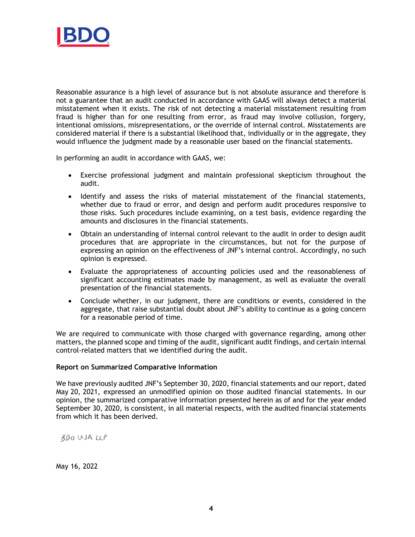

Reasonable assurance is a high level of assurance but is not absolute assurance and therefore is not a guarantee that an audit conducted in accordance with GAAS will always detect a material misstatement when it exists. The risk of not detecting a material misstatement resulting from fraud is higher than for one resulting from error, as fraud may involve collusion, forgery, intentional omissions, misrepresentations, or the override of internal control. Misstatements are considered material if there is a substantial likelihood that, individually or in the aggregate, they would influence the judgment made by a reasonable user based on the financial statements.

In performing an audit in accordance with GAAS, we:

- Exercise professional judgment and maintain professional skepticism throughout the audit.
- Identify and assess the risks of material misstatement of the financial statements, whether due to fraud or error, and design and perform audit procedures responsive to those risks. Such procedures include examining, on a test basis, evidence regarding the amounts and disclosures in the financial statements.
- Obtain an understanding of internal control relevant to the audit in order to design audit procedures that are appropriate in the circumstances, but not for the purpose of expressing an opinion on the effectiveness of JNF's internal control. Accordingly, no such opinion is expressed.
- Evaluate the appropriateness of accounting policies used and the reasonableness of significant accounting estimates made by management, as well as evaluate the overall presentation of the financial statements.
- Conclude whether, in our judgment, there are conditions or events, considered in the aggregate, that raise substantial doubt about JNF's ability to continue as a going concern for a reasonable period of time.

We are required to communicate with those charged with governance regarding, among other matters, the planned scope and timing of the audit, significant audit findings, and certain internal control-related matters that we identified during the audit.

#### **Report on Summarized Comparative Information**

We have previously audited JNF's September 30, 2020, financial statements and our report, dated May 20, 2021, expressed an unmodified opinion on those audited financial statements. In our opinion, the summarized comparative information presented herein as of and for the year ended September 30, 2020, is consistent, in all material respects, with the audited financial statements from which it has been derived.

BDO USA LLP

May 16, 2022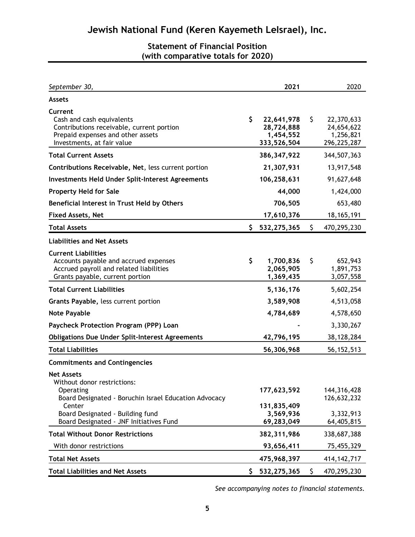## **Statement of Financial Position (with comparative totals for 2020)**

| September 30,                                                                                                                                                        |     | 2021                                                 |     | 2020                                                 |
|----------------------------------------------------------------------------------------------------------------------------------------------------------------------|-----|------------------------------------------------------|-----|------------------------------------------------------|
| <b>Assets</b>                                                                                                                                                        |     |                                                      |     |                                                      |
| Current<br>Cash and cash equivalents<br>Contributions receivable, current portion<br>Prepaid expenses and other assets<br>Investments, at fair value                 | \$  | 22,641,978<br>28,724,888<br>1,454,552<br>333,526,504 | \$  | 22,370,633<br>24,654,622<br>1,256,821<br>296,225,287 |
| <b>Total Current Assets</b>                                                                                                                                          |     | 386, 347, 922                                        |     | 344,507,363                                          |
| Contributions Receivable, Net, less current portion                                                                                                                  |     | 21,307,931                                           |     | 13,917,548                                           |
| <b>Investments Held Under Split-Interest Agreements</b>                                                                                                              |     | 106,258,631                                          |     | 91,627,648                                           |
| <b>Property Held for Sale</b>                                                                                                                                        |     | 44,000                                               |     | 1,424,000                                            |
| Beneficial Interest in Trust Held by Others                                                                                                                          |     | 706,505                                              |     | 653,480                                              |
| <b>Fixed Assets, Net</b>                                                                                                                                             |     | 17,610,376                                           |     | 18, 165, 191                                         |
| <b>Total Assets</b>                                                                                                                                                  | \$. | 532,275,365                                          | \$  | 470,295,230                                          |
| <b>Liabilities and Net Assets</b>                                                                                                                                    |     |                                                      |     |                                                      |
| <b>Current Liabilities</b><br>Accounts payable and accrued expenses<br>Accrued payroll and related liabilities<br>Grants payable, current portion                    | \$  | 1,700,836<br>2,065,905<br>1,369,435                  | \$  | 652,943<br>1,891,753<br>3,057,558                    |
| <b>Total Current Liabilities</b>                                                                                                                                     |     | 5,136,176                                            |     | 5,602,254                                            |
| Grants Payable, less current portion                                                                                                                                 |     | 3,589,908                                            |     | 4,513,058                                            |
| <b>Note Payable</b>                                                                                                                                                  |     | 4,784,689                                            |     | 4,578,650                                            |
| Paycheck Protection Program (PPP) Loan                                                                                                                               |     |                                                      |     | 3,330,267                                            |
| <b>Obligations Due Under Split-Interest Agreements</b>                                                                                                               |     | 42,796,195                                           |     | 38,128,284                                           |
| <b>Total Liabilities</b>                                                                                                                                             |     | 56,306,968                                           |     | 56, 152, 513                                         |
| <b>Commitments and Contingencies</b>                                                                                                                                 |     |                                                      |     |                                                      |
| <b>Net Assets</b><br>Without donor restrictions:<br>Operating<br>Board Designated - Boruchin Israel Education Advocacy<br>Center<br>Board Designated - Building fund |     | 177,623,592<br>131,835,409<br>3,569,936              |     | 144, 316, 428<br>126,632,232<br>3,332,913            |
| Board Designated - JNF Initiatives Fund                                                                                                                              |     | 69,283,049                                           |     | 64,405,815                                           |
| <b>Total Without Donor Restrictions</b>                                                                                                                              |     | 382, 311, 986                                        |     | 338,687,388                                          |
| With donor restrictions                                                                                                                                              |     | 93,656,411                                           |     | 75,455,329                                           |
| <b>Total Net Assets</b>                                                                                                                                              |     | 475,968,397                                          |     | 414, 142, 717                                        |
| <b>Total Liabilities and Net Assets</b>                                                                                                                              |     | \$532, 275, 365                                      | \$. | 470,295,230                                          |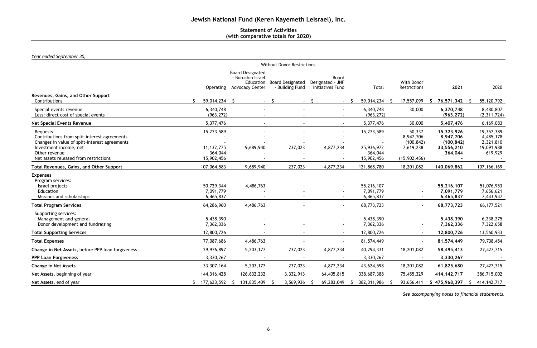## **Statement of Activities (with comparative totals for 2020)**

*Year ended September 30,*

|                                                                                                                                                                                                      |                                                     |                                                                                     |                                            | <b>Without Donor Restrictions</b>             |                                                   |                                                                |                                                                |                                                                         |  |
|------------------------------------------------------------------------------------------------------------------------------------------------------------------------------------------------------|-----------------------------------------------------|-------------------------------------------------------------------------------------|--------------------------------------------|-----------------------------------------------|---------------------------------------------------|----------------------------------------------------------------|----------------------------------------------------------------|-------------------------------------------------------------------------|--|
|                                                                                                                                                                                                      | Operating                                           | <b>Board Designated</b><br>- Boruchin Israel<br>Education<br><b>Advocacy Center</b> | <b>Board Designated</b><br>- Building Fund | Board<br>Designated - JNF<br>Initiatives Fund | Total                                             | With Donor<br>Restrictions                                     | 2021                                                           | 2020                                                                    |  |
| Revenues, Gains, and Other Support<br>Contributions                                                                                                                                                  | 59,014,234 \$                                       |                                                                                     | -Ŝ<br>$\sim 100$                           |                                               | 59,014,234<br>-S                                  | 17,557,099                                                     | 76,571,342 \$<br>S.                                            | 55,120,792                                                              |  |
| Special events revenue<br>Less: direct cost of special events                                                                                                                                        | 6,340,748<br>(963, 272)                             |                                                                                     |                                            | $\overline{\phantom{a}}$                      | 6,340,748<br>(963, 272)                           | 30,000                                                         | 6,370,748<br>(963, 272)                                        | 8,480,807<br>(2,311,724)                                                |  |
| <b>Net Special Events Revenue</b>                                                                                                                                                                    | 5,377,476                                           |                                                                                     |                                            |                                               | 5,377,476                                         | 30,000                                                         | 5,407,476                                                      | 6,169,083                                                               |  |
| <b>Bequests</b><br>Contributions from split-interest agreements<br>Changes in value of split-interest agreements<br>Investment income, net<br>Other revenue<br>Net assets released from restrictions | 15,273,589<br>11, 132, 775<br>364,044<br>15,902,456 | 9,689,940                                                                           | 237,023                                    | 4,877,234                                     | 15,273,589<br>25,936,972<br>364,044<br>15,902,456 | 50,337<br>8,947,706<br>(100, 842)<br>7,619,238<br>(15,902,456) | 15,323,926<br>8,947,706<br>(100, 842)<br>33,556,210<br>364,044 | 19,357,389<br>4,485,178<br>2,321,810<br>19,091,988<br>619,929<br>$\sim$ |  |
| Total Revenues, Gains, and Other Support                                                                                                                                                             | 107,064,583                                         | 9,689,940                                                                           | 237,023                                    | 4,877,234                                     | 121,868,780                                       | 18,201,082                                                     | 140,069,862                                                    | 107, 166, 169                                                           |  |
| <b>Expenses</b><br>Program services:<br>Israel projects<br>Education<br>Missions and scholarships                                                                                                    | 50,729,344<br>7,091,779<br>6,465,837                | 4,486,763                                                                           |                                            |                                               | 55,216,107<br>7,091,779<br>6,465,837              |                                                                | 55,216,107<br>7,091,779<br>6,465,837                           | 51,076,953<br>7,656,621<br>7,443,947                                    |  |
| <b>Total Program Services</b>                                                                                                                                                                        | 64,286,960                                          | 4,486,763                                                                           |                                            |                                               | 68,773,723                                        |                                                                | 68,773,723                                                     | 66, 177, 521                                                            |  |
| Supporting services:<br>Management and general<br>Donor development and fundraising                                                                                                                  | 5,438,390<br>7,362,336                              |                                                                                     |                                            | $\blacksquare$                                | 5,438,390<br>7,362,336                            | $\blacksquare$                                                 | 5,438,390<br>7,362,336                                         | 6,238,275<br>7,322,658                                                  |  |
| <b>Total Supporting Services</b>                                                                                                                                                                     | 12,800,726                                          |                                                                                     |                                            | $\sim$                                        | 12,800,726                                        | $\blacksquare$                                                 | 12,800,726                                                     | 13,560,933                                                              |  |
| <b>Total Expenses</b>                                                                                                                                                                                | 77,087,686                                          | 4,486,763                                                                           |                                            |                                               | 81,574,449                                        |                                                                | 81,574,449                                                     | 79,738,454                                                              |  |
| Change in Net Assets, before PPP loan forgiveness                                                                                                                                                    | 29,976,897                                          | 5,203,177                                                                           | 237,023                                    | 4,877,234                                     | 40,294,331                                        | 18,201,082                                                     | 58,495,413                                                     | 27,427,715                                                              |  |
| <b>PPP Loan Forgiveness</b>                                                                                                                                                                          | 3,330,267                                           |                                                                                     |                                            | $\blacksquare$                                | 3,330,267                                         | $\sim$                                                         | 3,330,267                                                      |                                                                         |  |
| <b>Change in Net Assets</b>                                                                                                                                                                          | 33, 307, 164                                        | 5,203,177                                                                           | 237,023                                    | 4,877,234                                     | 43,624,598                                        | 18,201,082                                                     | 61,825,680                                                     | 27,427,715                                                              |  |
| Net Assets, beginning of year                                                                                                                                                                        | 144,316,428                                         | 126,632,232                                                                         | 3,332,913                                  | 64,405,815                                    | 338,687,388                                       | 75,455,329                                                     | 414, 142, 717                                                  | 386,715,002                                                             |  |
| Net Assets, end of year                                                                                                                                                                              | $$177,623,592$ \$                                   | 131,835,409                                                                         | 3,569,936 \$<br>-S                         | 69,283,049                                    | 382,311,986<br>S.                                 | 93,656,411<br>-S                                               | 475,968,397<br>S.                                              | 414, 142, 717<br>\$                                                     |  |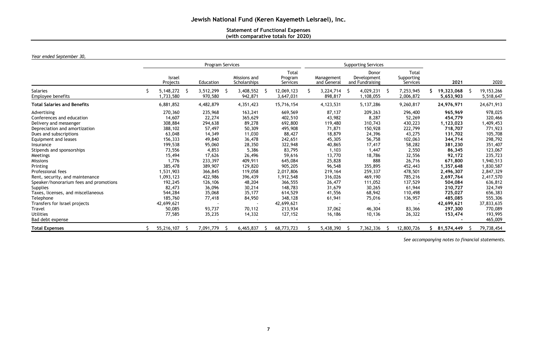## **Statement of Functional Expenses (with comparative totals for 2020)**

## *Year ended September 30,*

|                                                                                                                                                                                                                                                                                                                                                                                                                                                                                   |                                                                                                                                                                                                                        | Program Services                                                                                                                                                                                 |                                                                                                                                                                                                 |                                                                                                                                                                                                                              |                                                                                                                                                                                              |    | <b>Supporting Services</b>                                                                                                                                                                   |    |                                                                                                                                                                                                     |                                                                                                                                                                                                                                   |                                                                                                                                                                                                                                       |
|-----------------------------------------------------------------------------------------------------------------------------------------------------------------------------------------------------------------------------------------------------------------------------------------------------------------------------------------------------------------------------------------------------------------------------------------------------------------------------------|------------------------------------------------------------------------------------------------------------------------------------------------------------------------------------------------------------------------|--------------------------------------------------------------------------------------------------------------------------------------------------------------------------------------------------|-------------------------------------------------------------------------------------------------------------------------------------------------------------------------------------------------|------------------------------------------------------------------------------------------------------------------------------------------------------------------------------------------------------------------------------|----------------------------------------------------------------------------------------------------------------------------------------------------------------------------------------------|----|----------------------------------------------------------------------------------------------------------------------------------------------------------------------------------------------|----|-----------------------------------------------------------------------------------------------------------------------------------------------------------------------------------------------------|-----------------------------------------------------------------------------------------------------------------------------------------------------------------------------------------------------------------------------------|---------------------------------------------------------------------------------------------------------------------------------------------------------------------------------------------------------------------------------------|
|                                                                                                                                                                                                                                                                                                                                                                                                                                                                                   | Israel<br>Projects                                                                                                                                                                                                     | Education                                                                                                                                                                                        | Missions and<br>Scholarships                                                                                                                                                                    | Total<br>Program<br>Services                                                                                                                                                                                                 | Management<br>and General                                                                                                                                                                    |    | Donor<br>Development<br>and Fundraising                                                                                                                                                      |    | <b>Total</b><br>Supporting<br>Services                                                                                                                                                              | 2021                                                                                                                                                                                                                              | 2020                                                                                                                                                                                                                                  |
| <b>Salaries</b><br>Employee benefits                                                                                                                                                                                                                                                                                                                                                                                                                                              | $5,148,272$ \$<br>1,733,580                                                                                                                                                                                            | 3,512,299<br>970,580                                                                                                                                                                             | 3,408,552<br>942,871                                                                                                                                                                            | 12,069,123<br>3,647,031                                                                                                                                                                                                      | 3,224,714<br>898,817                                                                                                                                                                         | -S | 4,029,231<br>1,108,055                                                                                                                                                                       | -Ş | 7,253,945<br>2,006,872                                                                                                                                                                              | 19,323,068<br>5,653,903                                                                                                                                                                                                           | 19, 153, 266<br>5,518,647                                                                                                                                                                                                             |
| <b>Total Salaries and Benefits</b>                                                                                                                                                                                                                                                                                                                                                                                                                                                | 6,881,852                                                                                                                                                                                                              | 4,482,879                                                                                                                                                                                        | 4,351,423                                                                                                                                                                                       | 15,716,154                                                                                                                                                                                                                   | 4,123,531                                                                                                                                                                                    |    | 5,137,286                                                                                                                                                                                    |    | 9,260,817                                                                                                                                                                                           | 24,976,971                                                                                                                                                                                                                        | 24,671,913                                                                                                                                                                                                                            |
| Advertising<br>Conferences and education<br>Delivery and messenger<br>Depreciation and amortization<br>Dues and subscriptions<br>Equipment and leases<br>Insurance<br>Stipends and sponsorships<br>Meetings<br><b>Missions</b><br>Printing<br>Professional fees<br>Rent, security, and maintenance<br>Speaker/honorarium fees and promotions<br><b>Supplies</b><br>Taxes, licenses, and miscellaneous<br>Telephone<br>Transfers for Israel projects<br>Travel<br><b>Utilities</b> | 270,360<br>14,607<br>308,884<br>388,102<br>63,048<br>156,333<br>199,538<br>73,556<br>15,494<br>1,776<br>385,478<br>1,531,903<br>1,093,123<br>192,245<br>82,473<br>544,284<br>185,760<br>42,699,621<br>50,085<br>77,585 | 235,968<br>22,274<br>294,638<br>57,497<br>14,349<br>49,840<br>95,060<br>4,853<br>17,626<br>233,397<br>389,907<br>366,845<br>422,986<br>126,106<br>36,096<br>35,068<br>77,418<br>93,737<br>35,235 | 163,241<br>365,629<br>89,278<br>50,309<br>11,030<br>36,478<br>28,350<br>5,386<br>26,496<br>409,911<br>129,820<br>119,058<br>396,439<br>48,204<br>30,214<br>35,177<br>84,950<br>70,112<br>14,332 | 669,569<br>402,510<br>692,800<br>495,908<br>88,427<br>242,651<br>322,948<br>83,795<br>59,616<br>645,084<br>905,205<br>2,017,806<br>1,912,548<br>366,555<br>148,783<br>614,529<br>348,128<br>42,699,621<br>213,934<br>127,152 | 87,137<br>43,982<br>119,480<br>71,871<br>18,879<br>45,305<br>40,865<br>1,103<br>13,770<br>25,828<br>96,548<br>219,164<br>316,026<br>26,477<br>31,679<br>41,556<br>61,941<br>37,062<br>16,186 |    | 209,263<br>8,287<br>310,743<br>150,928<br>24,396<br>56,758<br>17,417<br>1,447<br>18,786<br>888<br>355,895<br>259,337<br>469,190<br>111,052<br>30,265<br>68,942<br>75,016<br>46,304<br>10,136 |    | 296,400<br>52,269<br>430,223<br>222,799<br>43,275<br>102,063<br>58,282<br>2,550<br>32,556<br>26,716<br>452,443<br>478,501<br>785,216<br>137,529<br>61,944<br>110,498<br>136,957<br>83,366<br>26,322 | 965,969<br>454,779<br>1,123,023<br>718,707<br>131,702<br>344,714<br>381,230<br>86,345<br>92,172<br>671,800<br>1,357,648<br>2,496,307<br>2,697,764<br>504,084<br>210,727<br>725,027<br>485,085<br>42,699,621<br>297,300<br>153,474 | 978,025<br>320,466<br>1,409,453<br>771,923<br>105,708<br>298,792<br>351,407<br>123,067<br>235,723<br>1,940,513<br>1,830,587<br>2,847,329<br>2,417,570<br>636,812<br>324,749<br>656,383<br>555,306<br>37,833,635<br>770,089<br>193,995 |
| Bad debt expense                                                                                                                                                                                                                                                                                                                                                                                                                                                                  |                                                                                                                                                                                                                        |                                                                                                                                                                                                  |                                                                                                                                                                                                 |                                                                                                                                                                                                                              |                                                                                                                                                                                              |    |                                                                                                                                                                                              |    |                                                                                                                                                                                                     |                                                                                                                                                                                                                                   | 465,009                                                                                                                                                                                                                               |
| <b>Total Expenses</b>                                                                                                                                                                                                                                                                                                                                                                                                                                                             | 55,216,107                                                                                                                                                                                                             | 7,091,779                                                                                                                                                                                        | 6,465,837                                                                                                                                                                                       | 68,773,723                                                                                                                                                                                                                   | 5,438,390                                                                                                                                                                                    |    | 7,362,336                                                                                                                                                                                    |    | 12,800,726                                                                                                                                                                                          | 81,574,449                                                                                                                                                                                                                        | 79,738,454                                                                                                                                                                                                                            |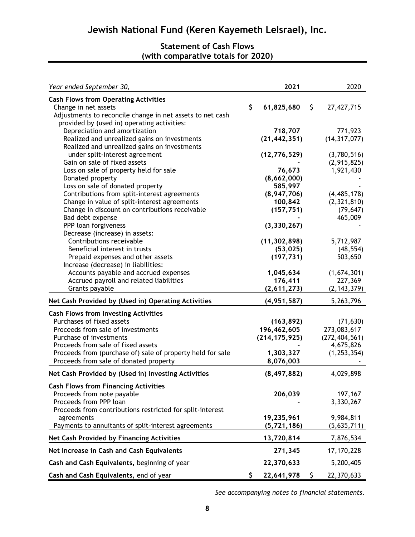## **Statement of Cash Flows (with comparative totals for 2020)**

| Year ended September 30,                                   | 2021             | 2020             |
|------------------------------------------------------------|------------------|------------------|
| <b>Cash Flows from Operating Activities</b>                |                  |                  |
| Change in net assets                                       | \$<br>61,825,680 | \$<br>27,427,715 |
| Adjustments to reconcile change in net assets to net cash  |                  |                  |
| provided by (used in) operating activities:                |                  |                  |
| Depreciation and amortization                              | 718,707          | 771,923          |
| Realized and unrealized gains on investments               | (21, 442, 351)   | (14, 317, 077)   |
| Realized and unrealized gains on investments               |                  |                  |
| under split-interest agreement                             | (12, 776, 529)   | (3,780,516)      |
| Gain on sale of fixed assets                               |                  | (2,915,825)      |
| Loss on sale of property held for sale                     | 76,673           | 1,921,430        |
| Donated property                                           | (8,662,000)      |                  |
| Loss on sale of donated property                           | 585,997          |                  |
| Contributions from split-interest agreements               | (8,947,706)      | (4, 485, 178)    |
| Change in value of split-interest agreements               | 100,842          | (2,321,810)      |
| Change in discount on contributions receivable             | (157, 751)       | (79, 647)        |
| Bad debt expense                                           |                  | 465,009          |
| PPP loan forgiveness                                       | (3, 330, 267)    |                  |
| Decrease (increase) in assets:                             |                  |                  |
| Contributions receivable                                   | (11, 302, 898)   | 5,712,987        |
| Beneficial interest in trusts                              | (53, 025)        | (48, 554)        |
| Prepaid expenses and other assets                          | (197, 731)       | 503,650          |
| Increase (decrease) in liabilities:                        |                  |                  |
| Accounts payable and accrued expenses                      | 1,045,634        | (1,674,301)      |
| Accrued payroll and related liabilities                    | 176,411          | 227,369          |
| Grants payable                                             | (2,611,273)      | (2, 143, 379)    |
| Net Cash Provided by (Used in) Operating Activities        | (4, 951, 587)    | 5,263,796        |
| <b>Cash Flows from Investing Activities</b>                |                  |                  |
| Purchases of fixed assets                                  | (163, 892)       | (71, 630)        |
| Proceeds from sale of investments                          | 196,462,605      | 273,083,617      |
| Purchase of investments                                    | (214, 175, 925)  | (272, 404, 561)  |
| Proceeds from sale of fixed assets                         |                  | 4,675,826        |
| Proceeds from (purchase of) sale of property held for sale | 1,303,327        | (1, 253, 354)    |
| Proceeds from sale of donated property                     | 8,076,003        |                  |
|                                                            |                  |                  |
| Net Cash Provided by (Used in) Investing Activities        | (8, 497, 882)    | 4,029,898        |
| <b>Cash Flows from Financing Activities</b>                |                  |                  |
| Proceeds from note payable                                 | 206,039          | 197,167          |
| Proceeds from PPP loan                                     |                  | 3,330,267        |
| Proceeds from contributions restricted for split-interest  |                  |                  |
| agreements                                                 | 19,235,961       | 9,984,811        |
| Payments to annuitants of split-interest agreements        | (5, 721, 186)    | (5,635,711)      |
| Net Cash Provided by Financing Activities                  | 13,720,814       | 7,876,534        |
| Net Increase in Cash and Cash Equivalents                  | 271,345          | 17,170,228       |
| Cash and Cash Equivalents, beginning of year               | 22,370,633       | 5,200,405        |
| Cash and Cash Equivalents, end of year                     | \$<br>22,641,978 | \$<br>22,370,633 |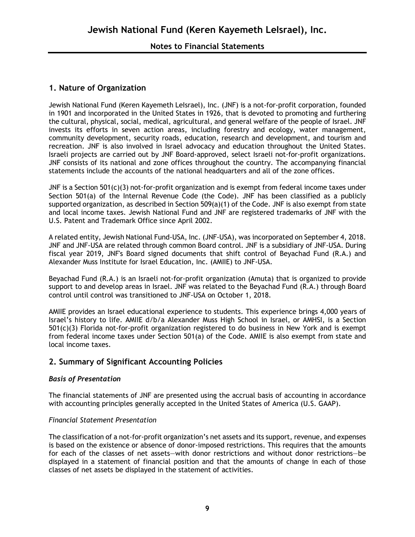## **1. Nature of Organization**

Jewish National Fund (Keren Kayemeth LeIsrael), Inc. (JNF) is a not-for-profit corporation, founded in 1901 and incorporated in the United States in 1926, that is devoted to promoting and furthering the cultural, physical, social, medical, agricultural, and general welfare of the people of Israel. JNF invests its efforts in seven action areas, including forestry and ecology, water management, community development, security roads, education, research and development, and tourism and recreation. JNF is also involved in Israel advocacy and education throughout the United States. Israeli projects are carried out by JNF Board-approved, select Israeli not-for-profit organizations. JNF consists of its national and zone offices throughout the country. The accompanying financial statements include the accounts of the national headquarters and all of the zone offices.

JNF is a Section 501(c)(3) not-for-profit organization and is exempt from federal income taxes under Section 501(a) of the Internal Revenue Code (the Code). JNF has been classified as a publicly supported organization, as described in Section 509(a)(1) of the Code. JNF is also exempt from state and local income taxes. Jewish National Fund and JNF are registered trademarks of JNF with the U.S. Patent and Trademark Office since April 2002.

A related entity, Jewish National Fund-USA, Inc. (JNF-USA), was incorporated on September 4, 2018. JNF and JNF-USA are related through common Board control. JNF is a subsidiary of JNF-USA. During fiscal year 2019, JNF's Board signed documents that shift control of Beyachad Fund (R.A.) and Alexander Muss Institute for Israel Education, Inc. (AMIIE) to JNF-USA.

Beyachad Fund (R.A.) is an Israeli not-for-profit organization (Amuta) that is organized to provide support to and develop areas in Israel. JNF was related to the Beyachad Fund (R.A.) through Board control until control was transitioned to JNF-USA on October 1, 2018.

AMIIE provides an Israel educational experience to students. This experience brings 4,000 years of Israel's history to life. AMIIE d/b/a Alexander Muss High School in Israel, or AMHSI, is a Section 501(c)(3) Florida not-for-profit organization registered to do business in New York and is exempt from federal income taxes under Section 501(a) of the Code. AMIIE is also exempt from state and local income taxes.

## **2. Summary of Significant Accounting Policies**

#### *Basis of Presentation*

The financial statements of JNF are presented using the accrual basis of accounting in accordance with accounting principles generally accepted in the United States of America (U.S. GAAP).

#### *Financial Statement Presentation*

The classification of a not-for-profit organization's net assets and its support, revenue, and expenses is based on the existence or absence of donor-imposed restrictions. This requires that the amounts for each of the classes of net assets—with donor restrictions and without donor restrictions—be displayed in a statement of financial position and that the amounts of change in each of those classes of net assets be displayed in the statement of activities.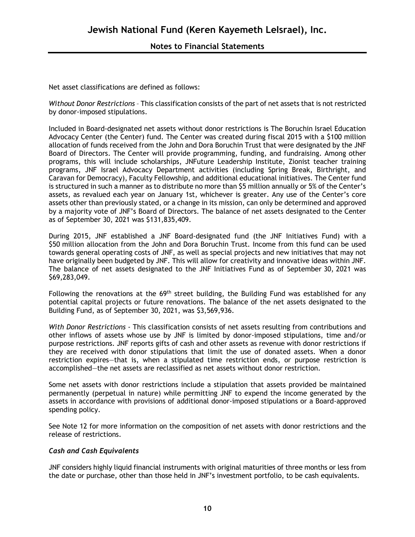Net asset classifications are defined as follows:

*Without Donor Restrictions* – This classification consists of the part of net assets that is not restricted by donor-imposed stipulations.

Included in Board-designated net assets without donor restrictions is The Boruchin Israel Education Advocacy Center (the Center) fund. The Center was created during fiscal 2015 with a \$100 million allocation of funds received from the John and Dora Boruchin Trust that were designated by the JNF Board of Directors. The Center will provide programming, funding, and fundraising. Among other programs, this will include scholarships, JNFuture Leadership Institute, Zionist teacher training programs, JNF Israel Advocacy Department activities (including Spring Break, Birthright, and Caravan for Democracy), Faculty Fellowship, and additional educational initiatives. The Center fund is structured in such a manner as to distribute no more than \$5 million annually or 5% of the Center's assets, as revalued each year on January 1st, whichever is greater. Any use of the Center's core assets other than previously stated, or a change in its mission, can only be determined and approved by a majority vote of JNF's Board of Directors. The balance of net assets designated to the Center as of September 30, 2021 was \$131,835,409.

During 2015, JNF established a JNF Board-designated fund (the JNF Initiatives Fund) with a \$50 million allocation from the John and Dora Boruchin Trust. Income from this fund can be used towards general operating costs of JNF, as well as special projects and new initiatives that may not have originally been budgeted by JNF. This will allow for creativity and innovative ideas within JNF. The balance of net assets designated to the JNF Initiatives Fund as of September 30, 2021 was \$69,283,049.

Following the renovations at the 69<sup>th</sup> street building, the Building Fund was established for any potential capital projects or future renovations. The balance of the net assets designated to the Building Fund, as of September 30, 2021, was \$3,569,936.

*With Donor Restrictions -* This classification consists of net assets resulting from contributions and other inflows of assets whose use by JNF is limited by donor-imposed stipulations, time and/or purpose restrictions. JNF reports gifts of cash and other assets as revenue with donor restrictions if they are received with donor stipulations that limit the use of donated assets. When a donor restriction expires—that is, when a stipulated time restriction ends, or purpose restriction is accomplished—the net assets are reclassified as net assets without donor restriction.

Some net assets with donor restrictions include a stipulation that assets provided be maintained permanently (perpetual in nature) while permitting JNF to expend the income generated by the assets in accordance with provisions of additional donor-imposed stipulations or a Board-approved spending policy.

See Note 12 for more information on the composition of net assets with donor restrictions and the release of restrictions.

#### *Cash and Cash Equivalents*

JNF considers highly liquid financial instruments with original maturities of three months or less from the date or purchase, other than those held in JNF's investment portfolio, to be cash equivalents.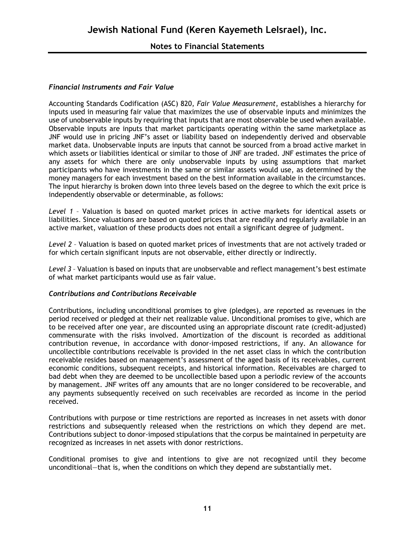### **Notes to Financial Statements**

#### *Financial Instruments and Fair Value*

Accounting Standards Codification (ASC) 820, *Fair Value Measurement*, establishes a hierarchy for inputs used in measuring fair value that maximizes the use of observable inputs and minimizes the use of unobservable inputs by requiring that inputs that are most observable be used when available. Observable inputs are inputs that market participants operating within the same marketplace as JNF would use in pricing JNF's asset or liability based on independently derived and observable market data. Unobservable inputs are inputs that cannot be sourced from a broad active market in which assets or liabilities identical or similar to those of JNF are traded. JNF estimates the price of any assets for which there are only unobservable inputs by using assumptions that market participants who have investments in the same or similar assets would use, as determined by the money managers for each investment based on the best information available in the circumstances. The input hierarchy is broken down into three levels based on the degree to which the exit price is independently observable or determinable, as follows:

*Level 1* – Valuation is based on quoted market prices in active markets for identical assets or liabilities. Since valuations are based on quoted prices that are readily and regularly available in an active market, valuation of these products does not entail a significant degree of judgment.

*Level 2* – Valuation is based on quoted market prices of investments that are not actively traded or for which certain significant inputs are not observable, either directly or indirectly.

*Level 3* – Valuation is based on inputs that are unobservable and reflect management's best estimate of what market participants would use as fair value.

#### *Contributions and Contributions Receivable*

Contributions, including unconditional promises to give (pledges), are reported as revenues in the period received or pledged at their net realizable value. Unconditional promises to give, which are to be received after one year, are discounted using an appropriate discount rate (credit-adjusted) commensurate with the risks involved. Amortization of the discount is recorded as additional contribution revenue, in accordance with donor-imposed restrictions, if any. An allowance for uncollectible contributions receivable is provided in the net asset class in which the contribution receivable resides based on management's assessment of the aged basis of its receivables, current economic conditions, subsequent receipts, and historical information. Receivables are charged to bad debt when they are deemed to be uncollectible based upon a periodic review of the accounts by management. JNF writes off any amounts that are no longer considered to be recoverable, and any payments subsequently received on such receivables are recorded as income in the period received.

Contributions with purpose or time restrictions are reported as increases in net assets with donor restrictions and subsequently released when the restrictions on which they depend are met. Contributions subject to donor-imposed stipulations that the corpus be maintained in perpetuity are recognized as increases in net assets with donor restrictions.

Conditional promises to give and intentions to give are not recognized until they become unconditional—that is, when the conditions on which they depend are substantially met.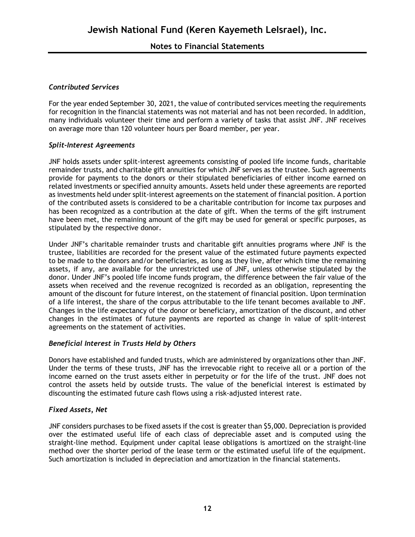#### *Contributed Services*

For the year ended September 30, 2021, the value of contributed services meeting the requirements for recognition in the financial statements was not material and has not been recorded. In addition, many individuals volunteer their time and perform a variety of tasks that assist JNF. JNF receives on average more than 120 volunteer hours per Board member, per year.

#### *Split-Interest Agreements*

JNF holds assets under split-interest agreements consisting of pooled life income funds, charitable remainder trusts, and charitable gift annuities for which JNF serves as the trustee. Such agreements provide for payments to the donors or their stipulated beneficiaries of either income earned on related investments or specified annuity amounts. Assets held under these agreements are reported as investments held under split-interest agreements on the statement of financial position. A portion of the contributed assets is considered to be a charitable contribution for income tax purposes and has been recognized as a contribution at the date of gift. When the terms of the gift instrument have been met, the remaining amount of the gift may be used for general or specific purposes, as stipulated by the respective donor.

Under JNF's charitable remainder trusts and charitable gift annuities programs where JNF is the trustee, liabilities are recorded for the present value of the estimated future payments expected to be made to the donors and/or beneficiaries, as long as they live, after which time the remaining assets, if any, are available for the unrestricted use of JNF, unless otherwise stipulated by the donor. Under JNF's pooled life income funds program, the difference between the fair value of the assets when received and the revenue recognized is recorded as an obligation, representing the amount of the discount for future interest, on the statement of financial position. Upon termination of a life interest, the share of the corpus attributable to the life tenant becomes available to JNF. Changes in the life expectancy of the donor or beneficiary, amortization of the discount, and other changes in the estimates of future payments are reported as change in value of split-interest agreements on the statement of activities.

## *Beneficial Interest in Trusts Held by Others*

Donors have established and funded trusts, which are administered by organizations other than JNF. Under the terms of these trusts, JNF has the irrevocable right to receive all or a portion of the income earned on the trust assets either in perpetuity or for the life of the trust. JNF does not control the assets held by outside trusts. The value of the beneficial interest is estimated by discounting the estimated future cash flows using a risk-adjusted interest rate.

#### *Fixed Assets, Net*

JNF considers purchases to be fixed assets if the cost is greater than \$5,000. Depreciation is provided over the estimated useful life of each class of depreciable asset and is computed using the straight-line method. Equipment under capital lease obligations is amortized on the straight-line method over the shorter period of the lease term or the estimated useful life of the equipment. Such amortization is included in depreciation and amortization in the financial statements.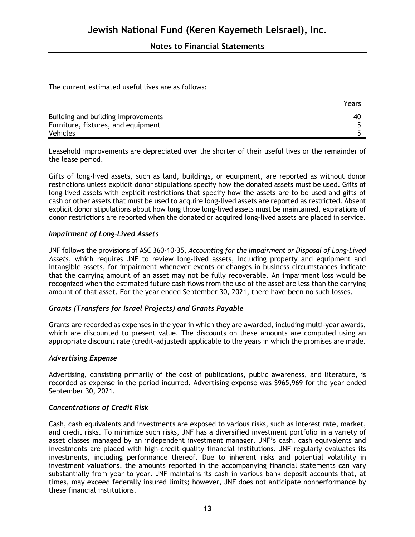The current estimated useful lives are as follows:

|                                    | Years |
|------------------------------------|-------|
| Building and building improvements | 40    |
| Furniture, fixtures, and equipment |       |
| Vehicles                           |       |

Leasehold improvements are depreciated over the shorter of their useful lives or the remainder of the lease period.

Gifts of long-lived assets, such as land, buildings, or equipment, are reported as without donor restrictions unless explicit donor stipulations specify how the donated assets must be used. Gifts of long-lived assets with explicit restrictions that specify how the assets are to be used and gifts of cash or other assets that must be used to acquire long-lived assets are reported as restricted. Absent explicit donor stipulations about how long those long-lived assets must be maintained, expirations of donor restrictions are reported when the donated or acquired long-lived assets are placed in service.

#### *Impairment of Long-Lived Assets*

JNF follows the provisions of ASC 360-10-35, *Accounting for the Impairment or Disposal of Long-Lived Assets*, which requires JNF to review long-lived assets, including property and equipment and intangible assets, for impairment whenever events or changes in business circumstances indicate that the carrying amount of an asset may not be fully recoverable. An impairment loss would be recognized when the estimated future cash flows from the use of the asset are less than the carrying amount of that asset. For the year ended September 30, 2021, there have been no such losses.

#### *Grants (Transfers for Israel Projects) and Grants Payable*

Grants are recorded as expenses in the year in which they are awarded, including multi-year awards, which are discounted to present value. The discounts on these amounts are computed using an appropriate discount rate (credit-adjusted) applicable to the years in which the promises are made.

#### *Advertising Expense*

Advertising, consisting primarily of the cost of publications, public awareness, and literature, is recorded as expense in the period incurred. Advertising expense was \$965,969 for the year ended September 30, 2021.

#### *Concentrations of Credit Risk*

Cash, cash equivalents and investments are exposed to various risks, such as interest rate, market, and credit risks. To minimize such risks, JNF has a diversified investment portfolio in a variety of asset classes managed by an independent investment manager. JNF's cash, cash equivalents and investments are placed with high-credit-quality financial institutions. JNF regularly evaluates its investments, including performance thereof. Due to inherent risks and potential volatility in investment valuations, the amounts reported in the accompanying financial statements can vary substantially from year to year. JNF maintains its cash in various bank deposit accounts that, at times, may exceed federally insured limits; however, JNF does not anticipate nonperformance by these financial institutions.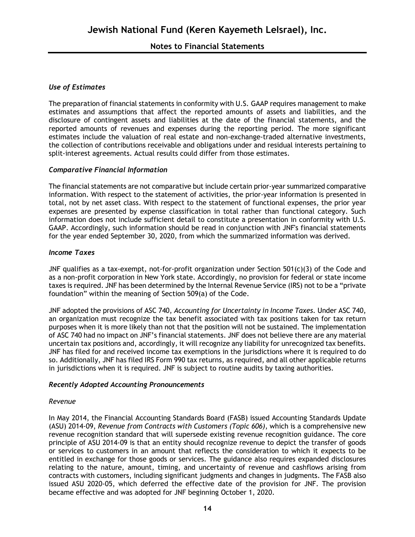#### *Use of Estimates*

The preparation of financial statements in conformity with U.S. GAAP requires management to make estimates and assumptions that affect the reported amounts of assets and liabilities, and the disclosure of contingent assets and liabilities at the date of the financial statements, and the reported amounts of revenues and expenses during the reporting period. The more significant estimates include the valuation of real estate and non-exchange-traded alternative investments, the collection of contributions receivable and obligations under and residual interests pertaining to split-interest agreements. Actual results could differ from those estimates.

#### *Comparative Financial Information*

The financial statements are not comparative but include certain prior-year summarized comparative information. With respect to the statement of activities, the prior-year information is presented in total, not by net asset class. With respect to the statement of functional expenses, the prior year expenses are presented by expense classification in total rather than functional category. Such information does not include sufficient detail to constitute a presentation in conformity with U.S. GAAP. Accordingly, such information should be read in conjunction with JNF's financial statements for the year ended September 30, 2020, from which the summarized information was derived.

#### *Income Taxes*

JNF qualifies as a tax-exempt, not-for-profit organization under Section 501(c)(3) of the Code and as a non-profit corporation in New York state. Accordingly, no provision for federal or state income taxes is required. JNF has been determined by the Internal Revenue Service (IRS) not to be a "private foundation" within the meaning of Section 509(a) of the Code.

JNF adopted the provisions of ASC 740, *Accounting for Uncertainty in Income Taxes.* Under ASC 740, an organization must recognize the tax benefit associated with tax positions taken for tax return purposes when it is more likely than not that the position will not be sustained. The implementation of ASC 740 had no impact on JNF's financial statements. JNF does not believe there are any material uncertain tax positions and, accordingly, it will recognize any liability for unrecognized tax benefits. JNF has filed for and received income tax exemptions in the jurisdictions where it is required to do so. Additionally, JNF has filed IRS Form 990 tax returns, as required, and all other applicable returns in jurisdictions when it is required. JNF is subject to routine audits by taxing authorities.

#### *Recently Adopted Accounting Pronouncements*

#### *Revenue*

In May 2014, the Financial Accounting Standards Board (FASB) issued Accounting Standards Update (ASU) 2014-09, *Revenue from Contracts with Customers (Topic 606)*, which is a comprehensive new revenue recognition standard that will supersede existing revenue recognition guidance. The core principle of ASU 2014-09 is that an entity should recognize revenue to depict the transfer of goods or services to customers in an amount that reflects the consideration to which it expects to be entitled in exchange for those goods or services. The guidance also requires expanded disclosures relating to the nature, amount, timing, and uncertainty of revenue and cashflows arising from contracts with customers, including significant judgments and changes in judgments. The FASB also issued ASU 2020-05, which deferred the effective date of the provision for JNF. The provision became effective and was adopted for JNF beginning October 1, 2020.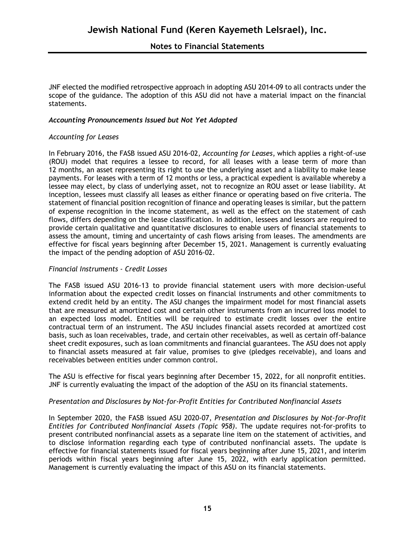JNF elected the modified retrospective approach in adopting ASU 2014-09 to all contracts under the scope of the guidance. The adoption of this ASU did not have a material impact on the financial statements.

#### *Accounting Pronouncements Issued but Not Yet Adopted*

#### *Accounting for Leases*

In February 2016, the FASB issued ASU 2016-02, *Accounting for Leases*, which applies a right-of-use (ROU) model that requires a lessee to record, for all leases with a lease term of more than 12 months, an asset representing its right to use the underlying asset and a liability to make lease payments. For leases with a term of 12 months or less, a practical expedient is available whereby a lessee may elect, by class of underlying asset, not to recognize an ROU asset or lease liability. At inception, lessees must classify all leases as either finance or operating based on five criteria. The statement of financial position recognition of finance and operating leases is similar, but the pattern of expense recognition in the income statement, as well as the effect on the statement of cash flows, differs depending on the lease classification. In addition, lessees and lessors are required to provide certain qualitative and quantitative disclosures to enable users of financial statements to assess the amount, timing and uncertainty of cash flows arising from leases. The amendments are effective for fiscal years beginning after December 15, 2021. Management is currently evaluating the impact of the pending adoption of ASU 2016-02.

#### *Financial Instruments - Credit Losses*

The FASB issued ASU 2016-13 to provide financial statement users with more decision-useful information about the expected credit losses on financial instruments and other commitments to extend credit held by an entity. The ASU changes the impairment model for most financial assets that are measured at amortized cost and certain other instruments from an incurred loss model to an expected loss model. Entities will be required to estimate credit losses over the entire contractual term of an instrument. The ASU includes financial assets recorded at amortized cost basis, such as loan receivables, trade, and certain other receivables, as well as certain off-balance sheet credit exposures, such as loan commitments and financial guarantees. The ASU does not apply to financial assets measured at fair value, promises to give (pledges receivable), and loans and receivables between entities under common control.

The ASU is effective for fiscal years beginning after December 15, 2022, for all nonprofit entities. JNF is currently evaluating the impact of the adoption of the ASU on its financial statements.

#### *Presentation and Disclosures by Not-for-Profit Entities for Contributed Nonfinancial Assets*

In September 2020, the FASB issued ASU 2020-07, *Presentation and Disclosures by Not-for-Profit Entities for Contributed Nonfinancial Assets (Topic 958)*. The update requires not-for-profits to present contributed nonfinancial assets as a separate line item on the statement of activities, and to disclose information regarding each type of contributed nonfinancial assets. The update is effective for financial statements issued for fiscal years beginning after June 15, 2021, and interim periods within fiscal years beginning after June 15, 2022, with early application permitted. Management is currently evaluating the impact of this ASU on its financial statements.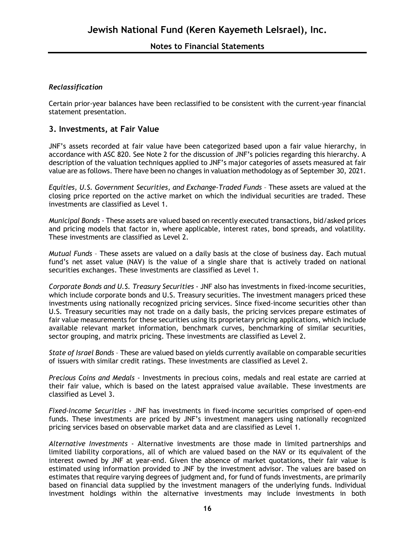## *Reclassification*

Certain prior-year balances have been reclassified to be consistent with the current-year financial statement presentation.

### **3. Investments, at Fair Value**

JNF's assets recorded at fair value have been categorized based upon a fair value hierarchy, in accordance with ASC 820. See Note 2 for the discussion of JNF's policies regarding this hierarchy. A description of the valuation techniques applied to JNF's major categories of assets measured at fair value are as follows. There have been no changes in valuation methodology as of September 30, 2021.

*Equities, U.S. Government Securities, and Exchange-Traded Funds* – These assets are valued at the closing price reported on the active market on which the individual securities are traded. These investments are classified as Level 1.

*Municipal Bonds* - These assets are valued based on recently executed transactions, bid/asked prices and pricing models that factor in, where applicable, interest rates, bond spreads, and volatility. These investments are classified as Level 2.

*Mutual Funds* – These assets are valued on a daily basis at the close of business day. Each mutual fund's net asset value (NAV) is the value of a single share that is actively traded on national securities exchanges. These investments are classified as Level 1.

*Corporate Bonds and U.S. Treasury Securities* - JNF also has investments in fixed-income securities, which include corporate bonds and U.S. Treasury securities. The investment managers priced these investments using nationally recognized pricing services. Since fixed-income securities other than U.S. Treasury securities may not trade on a daily basis, the pricing services prepare estimates of fair value measurements for these securities using its proprietary pricing applications, which include available relevant market information, benchmark curves, benchmarking of similar securities, sector grouping, and matrix pricing. These investments are classified as Level 2.

*State of Israel Bonds* – These are valued based on yields currently available on comparable securities of issuers with similar credit ratings. These investments are classified as Level 2.

*Precious Coins and Medals* - Investments in precious coins, medals and real estate are carried at their fair value, which is based on the latest appraised value available. These investments are classified as Level 3.

*Fixed-Income Securities -* JNF has investments in fixed-income securities comprised of open-end funds. These investments are priced by JNF's investment managers using nationally recognized pricing services based on observable market data and are classified as Level 1.

*Alternative Investments* - Alternative investments are those made in limited partnerships and limited liability corporations, all of which are valued based on the NAV or its equivalent of the interest owned by JNF at year-end. Given the absence of market quotations, their fair value is estimated using information provided to JNF by the investment advisor. The values are based on estimates that require varying degrees of judgment and, for fund of funds investments, are primarily based on financial data supplied by the investment managers of the underlying funds. Individual investment holdings within the alternative investments may include investments in both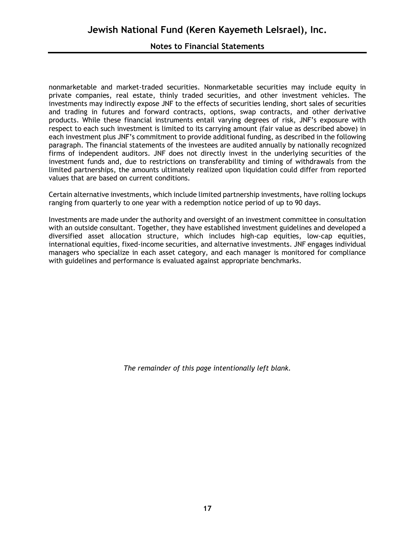## **Notes to Financial Statements**

nonmarketable and market-traded securities. Nonmarketable securities may include equity in private companies, real estate, thinly traded securities, and other investment vehicles. The investments may indirectly expose JNF to the effects of securities lending, short sales of securities and trading in futures and forward contracts, options, swap contracts, and other derivative products. While these financial instruments entail varying degrees of risk, JNF's exposure with respect to each such investment is limited to its carrying amount (fair value as described above) in each investment plus JNF's commitment to provide additional funding, as described in the following paragraph. The financial statements of the investees are audited annually by nationally recognized firms of independent auditors. JNF does not directly invest in the underlying securities of the investment funds and, due to restrictions on transferability and timing of withdrawals from the limited partnerships, the amounts ultimately realized upon liquidation could differ from reported values that are based on current conditions.

Certain alternative investments, which include limited partnership investments, have rolling lockups ranging from quarterly to one year with a redemption notice period of up to 90 days.

Investments are made under the authority and oversight of an investment committee in consultation with an outside consultant. Together, they have established investment guidelines and developed a diversified asset allocation structure, which includes high-cap equities, low-cap equities, international equities, fixed-income securities, and alternative investments. JNF engages individual managers who specialize in each asset category, and each manager is monitored for compliance with guidelines and performance is evaluated against appropriate benchmarks.

*The remainder of this page intentionally left blank.*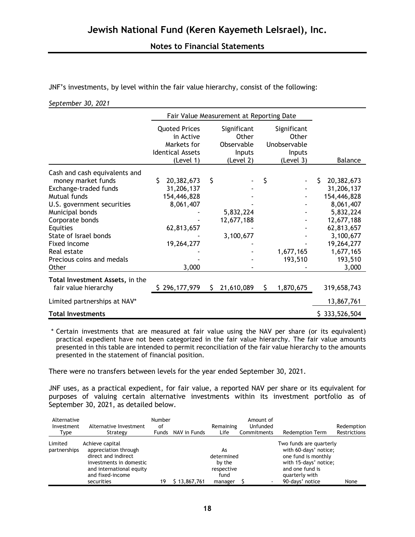JNF's investments, by level within the fair value hierarchy, consist of the following:

#### *September 30, 2021*

|                                                     |                                                                                          | Fair Value Measurement at Reporting Date |                                                           |    |                                                             |                |  |  |  |  |
|-----------------------------------------------------|------------------------------------------------------------------------------------------|------------------------------------------|-----------------------------------------------------------|----|-------------------------------------------------------------|----------------|--|--|--|--|
|                                                     | <b>Quoted Prices</b><br>in Active<br>Markets for<br><b>Identical Assets</b><br>(Level 1) |                                          | Significant<br>Other<br>Observable<br>Inputs<br>(Level 2) |    | Significant<br>Other<br>Unobservable<br>Inputs<br>(Level 3) | <b>Balance</b> |  |  |  |  |
| Cash and cash equivalents and<br>money market funds | 20,382,673<br>S.                                                                         | \$                                       |                                                           | \$ |                                                             | 20,382,673     |  |  |  |  |
| Exchange-traded funds                               | 31,206,137                                                                               |                                          |                                                           |    |                                                             | 31,206,137     |  |  |  |  |
| Mutual funds                                        | 154,446,828                                                                              |                                          |                                                           |    |                                                             | 154,446,828    |  |  |  |  |
| U.S. government securities                          | 8,061,407                                                                                |                                          |                                                           |    |                                                             | 8,061,407      |  |  |  |  |
| Municipal bonds                                     |                                                                                          |                                          | 5,832,224                                                 |    |                                                             | 5,832,224      |  |  |  |  |
| Corporate bonds                                     |                                                                                          |                                          | 12,677,188                                                |    |                                                             | 12,677,188     |  |  |  |  |
| Equities                                            | 62,813,657                                                                               |                                          |                                                           |    |                                                             | 62,813,657     |  |  |  |  |
| State of Israel bonds                               |                                                                                          |                                          | 3,100,677                                                 |    |                                                             | 3,100,677      |  |  |  |  |
| Fixed income                                        | 19,264,277                                                                               |                                          |                                                           |    |                                                             | 19,264,277     |  |  |  |  |
| Real estate                                         |                                                                                          |                                          |                                                           |    | 1,677,165                                                   | 1,677,165      |  |  |  |  |
| Precious coins and medals                           |                                                                                          |                                          |                                                           |    | 193,510                                                     | 193,510        |  |  |  |  |
| Other                                               | 3,000                                                                                    |                                          |                                                           |    |                                                             | 3,000          |  |  |  |  |
| Total Investment Assets, in the                     |                                                                                          |                                          |                                                           |    |                                                             |                |  |  |  |  |
| fair value hierarchy                                | \$296,177,979                                                                            | S.                                       | 21,610,089                                                | S. | 1,870,675                                                   | 319,658,743    |  |  |  |  |
| Limited partnerships at NAV*                        |                                                                                          |                                          |                                                           |    |                                                             | 13,867,761     |  |  |  |  |
| <b>Total Investments</b>                            |                                                                                          |                                          |                                                           |    |                                                             | \$333,526,504  |  |  |  |  |

\* Certain investments that are measured at fair value using the NAV per share (or its equivalent) practical expedient have not been categorized in the fair value hierarchy. The fair value amounts presented in this table are intended to permit reconciliation of the fair value hierarchy to the amounts presented in the statement of financial position.

There were no transfers between levels for the year ended September 30, 2021.

JNF uses, as a practical expedient, for fair value, a reported NAV per share or its equivalent for purposes of valuing certain alternative investments within its investment portfolio as of September 30, 2021, as detailed below.

| Alternative<br>Investment<br>Type | Alternative Investment<br>Strategy                                                                                                                      | Number<br>οf<br><b>Funds</b> | NAV in Funds | Remaining<br>Life                                           | Amount of<br>Unfunded<br>Commitments | <b>Redemption Term</b>                                                                                                                                   | Redemption<br>Restrictions |
|-----------------------------------|---------------------------------------------------------------------------------------------------------------------------------------------------------|------------------------------|--------------|-------------------------------------------------------------|--------------------------------------|----------------------------------------------------------------------------------------------------------------------------------------------------------|----------------------------|
| Limited<br>partnerships           | Achieve capital<br>appreciation through<br>direct and indirect<br>investments in domestic<br>and international equity<br>and fixed-income<br>securities | 19                           | 13,867,761   | As<br>determined<br>by the<br>respective<br>fund<br>manager |                                      | Two funds are quarterly<br>with 60-days' notice;<br>one fund is monthly<br>with 15-days' notice;<br>and one fund is<br>quarterly with<br>90-days' notice | None                       |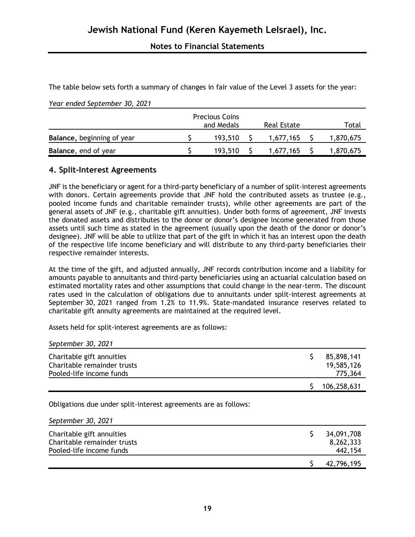The table below sets forth a summary of changes in fair value of the Level 3 assets for the year:

*Year ended September 30, 2021*

|                            | <b>Precious Coins</b><br>and Medals | Real Estate | Total     |
|----------------------------|-------------------------------------|-------------|-----------|
| Balance, beginning of year | 193.510                             | 1.677.165   | 1,870,675 |
| Balance, end of year       | 193.510                             | 1,677,165   | 1,870,675 |

## **4. Split-Interest Agreements**

JNF is the beneficiary or agent for a third-party beneficiary of a number of split-interest agreements with donors. Certain agreements provide that JNF hold the contributed assets as trustee (e.g., pooled income funds and charitable remainder trusts), while other agreements are part of the general assets of JNF (e.g., charitable gift annuities). Under both forms of agreement, JNF invests the donated assets and distributes to the donor or donor's designee income generated from those assets until such time as stated in the agreement (usually upon the death of the donor or donor's designee). JNF will be able to utilize that part of the gift in which it has an interest upon the death of the respective life income beneficiary and will distribute to any third-party beneficiaries their respective remainder interests.

At the time of the gift, and adjusted annually, JNF records contribution income and a liability for amounts payable to annuitants and third-party beneficiaries using an actuarial calculation based on estimated mortality rates and other assumptions that could change in the near-term. The discount rates used in the calculation of obligations due to annuitants under split-interest agreements at September 30, 2021 ranged from 1.2% to 11.9%. State-mandated insurance reserves related to charitable gift annuity agreements are maintained at the required level.

Assets held for split-interest agreements are as follows:

*September 30, 2021*

| Charitable gift annuities<br>Charitable remainder trusts<br>Pooled-life income funds | 85,898,141<br>19,585,126<br>775,364 |
|--------------------------------------------------------------------------------------|-------------------------------------|
|                                                                                      | 106,258,631                         |

Obligations due under split-interest agreements are as follows:

|                             | 42,796,195 |
|-----------------------------|------------|
| Pooled-life income funds    | 442,154    |
| Charitable remainder trusts | 8,262,333  |
| Charitable gift annuities   | 34,091,708 |
| September 30, 2021          |            |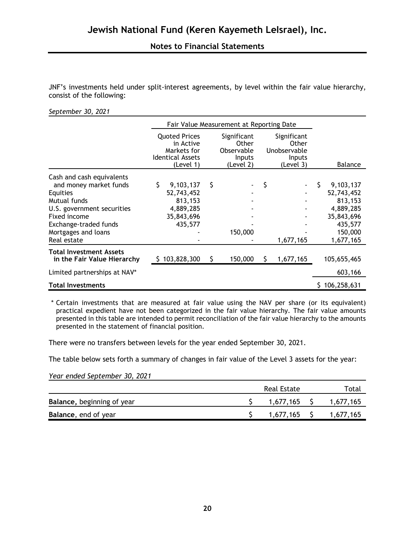JNF's investments held under split-interest agreements, by level within the fair value hierarchy, consist of the following:

#### *September 30, 2021*

|                              | Fair Value Measurement at Reporting Date                                                 |     |                                                           |    |                                                             |                 |
|------------------------------|------------------------------------------------------------------------------------------|-----|-----------------------------------------------------------|----|-------------------------------------------------------------|-----------------|
|                              | <b>Quoted Prices</b><br>in Active<br>Markets for<br><b>Identical Assets</b><br>(Level 1) |     | Significant<br>Other<br>Observable<br>Inputs<br>(Level 2) |    | Significant<br>Other<br>Unobservable<br>Inputs<br>(Level 3) | <b>Balance</b>  |
| Cash and cash equivalents    |                                                                                          |     |                                                           |    |                                                             |                 |
| and money market funds       | \$<br>9,103,137                                                                          | \$  |                                                           | S  |                                                             | \$<br>9,103,137 |
| Equities                     | 52,743,452                                                                               |     |                                                           |    |                                                             | 52,743,452      |
| Mutual funds                 | 813,153                                                                                  |     |                                                           |    |                                                             | 813,153         |
| U.S. government securities   | 4,889,285                                                                                |     |                                                           |    |                                                             | 4,889,285       |
| Fixed income                 | 35,843,696                                                                               |     |                                                           |    |                                                             | 35,843,696      |
| Exchange-traded funds        | 435,577                                                                                  |     |                                                           |    |                                                             | 435,577         |
| Mortgages and loans          |                                                                                          |     | 150,000                                                   |    |                                                             | 150,000         |
| Real estate                  |                                                                                          |     |                                                           |    | 1,677,165                                                   | 1,677,165       |
| Total Investment Assets      |                                                                                          |     |                                                           |    |                                                             |                 |
| in the Fair Value Hierarchy  | \$103,828,300                                                                            | \$. | 150,000                                                   | S. | 1,677,165                                                   | 105,655,465     |
| Limited partnerships at NAV* |                                                                                          |     |                                                           |    |                                                             | 603,166         |
| Total Investments            |                                                                                          |     |                                                           |    |                                                             | 106,258,631     |

\* Certain investments that are measured at fair value using the NAV per share (or its equivalent) practical expedient have not been categorized in the fair value hierarchy. The fair value amounts presented in this table are intended to permit reconciliation of the fair value hierarchy to the amounts presented in the statement of financial position.

There were no transfers between levels for the year ended September 30, 2021.

The table below sets forth a summary of changes in fair value of the Level 3 assets for the year:

*Year ended September 30, 2021*

|                            | Real Estate   | Total     |
|----------------------------|---------------|-----------|
| Balance, beginning of year | $1,677,165$ S | 1,677,165 |
| Balance, end of year       | $1,677,165$ S | 1,677,165 |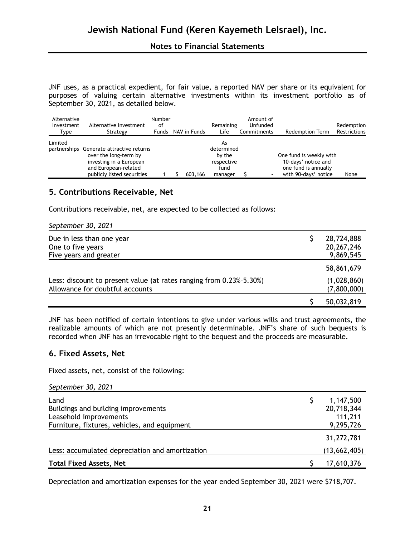JNF uses, as a practical expedient, for fair value, a reported NAV per share or its equivalent for purposes of valuing certain alternative investments within its investment portfolio as of September 30, 2021, as detailed below.

| Alternative<br>Investment<br>Type | Alternative Investment<br>Strategy                                                                                                                 | <b>Number</b><br>οf<br><b>Funds</b> | NAV in Funds | Remaining<br>Life                                           | Amount of<br>Unfunded<br>Commitments | <b>Redemption Term</b>                                                                         | Redemption<br>Restrictions |
|-----------------------------------|----------------------------------------------------------------------------------------------------------------------------------------------------|-------------------------------------|--------------|-------------------------------------------------------------|--------------------------------------|------------------------------------------------------------------------------------------------|----------------------------|
| Limited                           | partnerships Generate attractive returns<br>over the long-term by<br>investing in a European<br>and European-related<br>publicly listed securities |                                     | 603,166      | As<br>determined<br>by the<br>respective<br>fund<br>manager |                                      | One fund is weekly with<br>10-days' notice and<br>one fund is annually<br>with 90-days' notice | None                       |

## **5. Contributions Receivable, Net**

Contributions receivable, net, are expected to be collected as follows:

*September 30, 2021*

| Due in less than one year<br>One to five years                                                         | 28,724,888<br>20, 267, 246 |
|--------------------------------------------------------------------------------------------------------|----------------------------|
| Five years and greater                                                                                 | 9,869,545                  |
|                                                                                                        | 58,861,679                 |
| Less: discount to present value (at rates ranging from 0.23%-5.30%)<br>Allowance for doubtful accounts | (1,028,860)<br>(7,800,000) |
|                                                                                                        | 50,032,819                 |

JNF has been notified of certain intentions to give under various wills and trust agreements, the realizable amounts of which are not presently determinable. JNF's share of such bequests is recorded when JNF has an irrevocable right to the bequest and the proceeds are measurable.

#### **6. Fixed Assets, Net**

Fixed assets, net, consist of the following:

|  | September 30, 2021 |  |  |
|--|--------------------|--|--|
|--|--------------------|--|--|

| Land                                            | 1,147,500    |
|-------------------------------------------------|--------------|
|                                                 |              |
| Buildings and building improvements             | 20,718,344   |
| Leasehold improvements                          | 111,211      |
| Furniture, fixtures, vehicles, and equipment    | 9,295,726    |
|                                                 | 31,272,781   |
| Less: accumulated depreciation and amortization | (13,662,405) |
| <b>Total Fixed Assets, Net</b>                  | 17,610,376   |

Depreciation and amortization expenses for the year ended September 30, 2021 were \$718,707.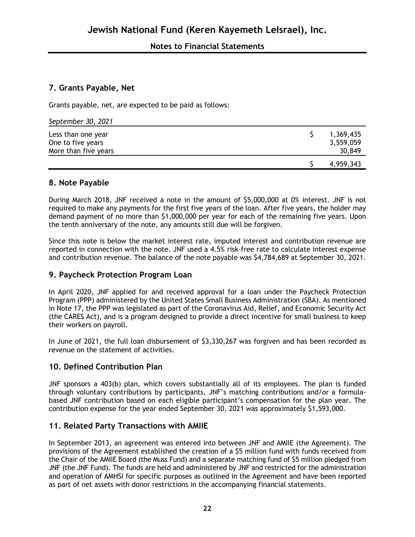## **7. Grants Payable, Net**

Grants payable, net, are expected to be paid as follows:

| September 30, 2021                                              |                                  |
|-----------------------------------------------------------------|----------------------------------|
| Less than one year<br>One to five years<br>More than five years | 1,369,435<br>3,559,059<br>30,849 |
|                                                                 | 4,959,343                        |

## **8. Note Payable**

During March 2018, JNF received a note in the amount of \$5,000,000 at 0% interest. JNF is not required to make any payments for the first five years of the loan. After five years, the holder may demand payment of no more than \$1,000,000 per year for each of the remaining five years. Upon the tenth anniversary of the note, any amounts still due will be forgiven.

Since this note is below the market interest rate, imputed interest and contribution revenue are reported in connection with the note. JNF used a 4.5% risk-free rate to calculate interest expense and contribution revenue. The balance of the note payable was \$4,784,689 at September 30, 2021.

## **9. Paycheck Protection Program Loan**

In April 2020, JNF applied for and received approval for a loan under the Paycheck Protection Program (PPP) administered by the United States Small Business Administration (SBA). As mentioned in Note 17, the PPP was legislated as part of the Coronavirus Aid, Relief, and Economic Security Act (the CARES Act), and is a program designed to provide a direct incentive for small business to keep their workers on payroll.

In June of 2021, the full loan disbursement of \$3,330,267 was forgiven and has been recorded as revenue on the statement of activities.

## **10. Defined Contribution Plan**

JNF sponsors a 403(b) plan, which covers substantially all of its employees. The plan is funded through voluntary contributions by participants, JNF's matching contributions and/or a formulabased JNF contribution based on each eligible participant's compensation for the plan year. The contribution expense for the year ended September 30, 2021 was approximately \$1,593,000.

## **11. Related Party Transactions with AMIIE**

In September 2013, an agreement was entered into between JNF and AMIIE (the Agreement). The provisions of the Agreement established the creation of a \$5 million fund with funds received from the Chair of the AMIIE Board (the Muss Fund) and a separate matching fund of \$5 million pledged from JNF (the JNF Fund). The funds are held and administered by JNF and restricted for the administration and operation of AMHSI for specific purposes as outlined in the Agreement and have been reported as part of net assets with donor restrictions in the accompanying financial statements.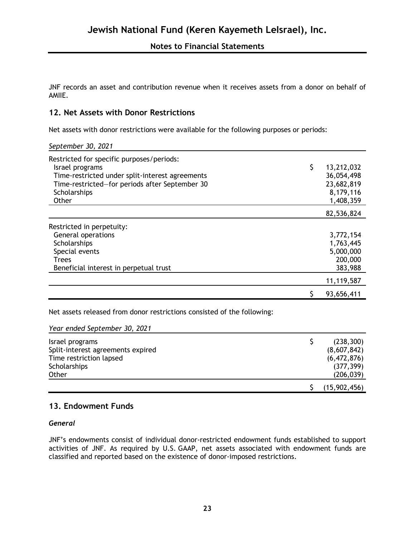JNF records an asset and contribution revenue when it receives assets from a donor on behalf of AMIIE.

## **12. Net Assets with Donor Restrictions**

Net assets with donor restrictions were available for the following purposes or periods:

*September 30, 2021*

| Restricted for specific purposes/periods:<br>Israel programs<br>Time-restricted under split-interest agreements<br>Time-restricted-for periods after September 30<br>Scholarships<br>Other | \$<br>13,212,032<br>36,054,498<br>23,682,819<br>8,179,116<br>1,408,359 |
|--------------------------------------------------------------------------------------------------------------------------------------------------------------------------------------------|------------------------------------------------------------------------|
|                                                                                                                                                                                            | 82,536,824                                                             |
| Restricted in perpetuity:                                                                                                                                                                  |                                                                        |
| General operations                                                                                                                                                                         | 3,772,154                                                              |
| Scholarships                                                                                                                                                                               | 1,763,445                                                              |
| Special events                                                                                                                                                                             | 5,000,000                                                              |
| <b>Trees</b>                                                                                                                                                                               | 200,000                                                                |
| Beneficial interest in perpetual trust                                                                                                                                                     | 383,988                                                                |
|                                                                                                                                                                                            | 11,119,587                                                             |
|                                                                                                                                                                                            | 93,656,411                                                             |

Net assets released from donor restrictions consisted of the following:

*Year ended September 30, 2021*

| Israel programs                   | (238, 300)   |
|-----------------------------------|--------------|
| Split-interest agreements expired | (8,607,842)  |
| Time restriction lapsed           | (6,472,876)  |
| Scholarships                      | (377, 399)   |
| Other                             | (206, 039)   |
|                                   | (15,902,456) |

## **13. Endowment Funds**

*General*

JNF's endowments consist of individual donor-restricted endowment funds established to support activities of JNF. As required by U.S. GAAP, net assets associated with endowment funds are classified and reported based on the existence of donor-imposed restrictions.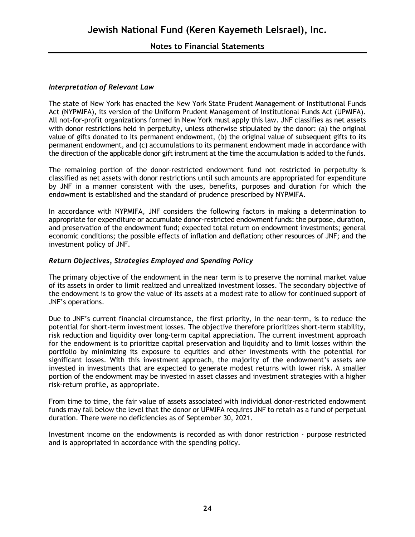### **Notes to Financial Statements**

#### *Interpretation of Relevant Law*

The state of New York has enacted the New York State Prudent Management of Institutional Funds Act (NYPMIFA), its version of the Uniform Prudent Management of Institutional Funds Act (UPMIFA). All not-for-profit organizations formed in New York must apply this law. JNF classifies as net assets with donor restrictions held in perpetuity, unless otherwise stipulated by the donor: (a) the original value of gifts donated to its permanent endowment, (b) the original value of subsequent gifts to its permanent endowment, and (c) accumulations to its permanent endowment made in accordance with the direction of the applicable donor gift instrument at the time the accumulation is added to the funds.

The remaining portion of the donor-restricted endowment fund not restricted in perpetuity is classified as net assets with donor restrictions until such amounts are appropriated for expenditure by JNF in a manner consistent with the uses, benefits, purposes and duration for which the endowment is established and the standard of prudence prescribed by NYPMIFA.

In accordance with NYPMIFA, JNF considers the following factors in making a determination to appropriate for expenditure or accumulate donor-restricted endowment funds: the purpose, duration, and preservation of the endowment fund; expected total return on endowment investments; general economic conditions; the possible effects of inflation and deflation; other resources of JNF; and the investment policy of JNF.

#### *Return Objectives, Strategies Employed and Spending Policy*

The primary objective of the endowment in the near term is to preserve the nominal market value of its assets in order to limit realized and unrealized investment losses. The secondary objective of the endowment is to grow the value of its assets at a modest rate to allow for continued support of JNF's operations.

Due to JNF's current financial circumstance, the first priority, in the near-term, is to reduce the potential for short-term investment losses. The objective therefore prioritizes short-term stability, risk reduction and liquidity over long-term capital appreciation. The current investment approach for the endowment is to prioritize capital preservation and liquidity and to limit losses within the portfolio by minimizing its exposure to equities and other investments with the potential for significant losses. With this investment approach, the majority of the endowment's assets are invested in investments that are expected to generate modest returns with lower risk. A smaller portion of the endowment may be invested in asset classes and investment strategies with a higher risk-return profile, as appropriate.

From time to time, the fair value of assets associated with individual donor-restricted endowment funds may fall below the level that the donor or UPMIFA requires JNF to retain as a fund of perpetual duration. There were no deficiencies as of September 30, 2021.

Investment income on the endowments is recorded as with donor restriction - purpose restricted and is appropriated in accordance with the spending policy.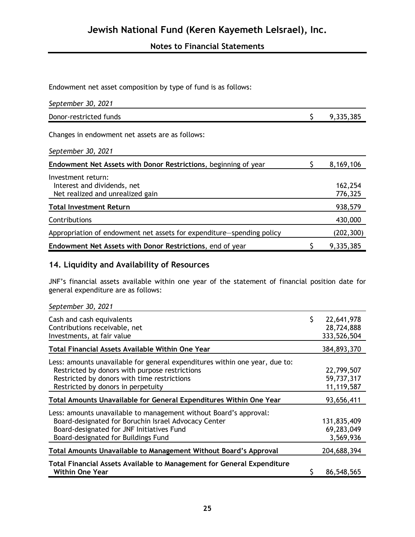Endowment net asset composition by type of fund is as follows:

| September 30, 2021                                                                    |                    |
|---------------------------------------------------------------------------------------|--------------------|
| Donor-restricted funds                                                                | 9,335,385          |
| Changes in endowment net assets are as follows:                                       |                    |
| September 30, 2021                                                                    |                    |
| Endowment Net Assets with Donor Restrictions, beginning of year                       | 8,169,106          |
| Investment return:<br>Interest and dividends, net<br>Net realized and unrealized gain | 162,254<br>776,325 |
| <b>Total Investment Return</b>                                                        | 938,579            |
| Contributions                                                                         | 430,000            |
| Appropriation of endowment net assets for expenditure–spending policy                 | (202, 300)         |
| Endowment Net Assets with Donor Restrictions, end of year                             | 9,335,385          |

## **14. Liquidity and Availability of Resources**

JNF's financial assets available within one year of the statement of financial position date for general expenditure are as follows:

| September 30, 2021                                                                                                                                                                                                 |                                               |
|--------------------------------------------------------------------------------------------------------------------------------------------------------------------------------------------------------------------|-----------------------------------------------|
| Cash and cash equivalents<br>Contributions receivable, net<br>Investments, at fair value                                                                                                                           | \$<br>22,641,978<br>28,724,888<br>333,526,504 |
| Total Financial Assets Available Within One Year                                                                                                                                                                   | 384,893,370                                   |
| Less: amounts unavailable for general expenditures within one year, due to:<br>Restricted by donors with purpose restrictions<br>Restricted by donors with time restrictions<br>Restricted by donors in perpetuity | 22,799,507<br>59,737,317<br>11,119,587        |
| Total Amounts Unavailable for General Expenditures Within One Year                                                                                                                                                 | 93,656,411                                    |
| Less: amounts unavailable to management without Board's approval:<br>Board-designated for Boruchin Israel Advocacy Center<br>Board-designated for JNF Initiatives Fund<br>Board-designated for Buildings Fund      | 131,835,409<br>69,283,049<br>3,569,936        |
| Total Amounts Unavailable to Management Without Board's Approval                                                                                                                                                   | 204,688,394                                   |
| Total Financial Assets Available to Management for General Expenditure<br><b>Within One Year</b>                                                                                                                   | 86,548,565                                    |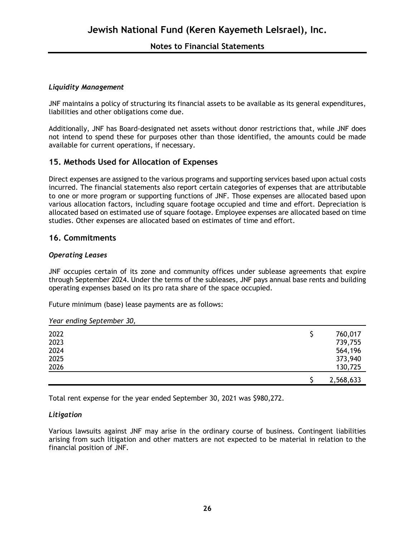#### *Liquidity Management*

JNF maintains a policy of structuring its financial assets to be available as its general expenditures, liabilities and other obligations come due.

Additionally, JNF has Board-designated net assets without donor restrictions that, while JNF does not intend to spend these for purposes other than those identified, the amounts could be made available for current operations, if necessary.

### **15. Methods Used for Allocation of Expenses**

Direct expenses are assigned to the various programs and supporting services based upon actual costs incurred. The financial statements also report certain categories of expenses that are attributable to one or more program or supporting functions of JNF. Those expenses are allocated based upon various allocation factors, including square footage occupied and time and effort. Depreciation is allocated based on estimated use of square footage. Employee expenses are allocated based on time studies. Other expenses are allocated based on estimates of time and effort.

#### **16. Commitments**

#### *Operating Leases*

JNF occupies certain of its zone and community offices under sublease agreements that expire through September 2024. Under the terms of the subleases, JNF pays annual base rents and building operating expenses based on its pro rata share of the space occupied.

Future minimum (base) lease payments are as follows:

#### *Year ending September 30,*

|      | 2,568,633 |
|------|-----------|
| 2026 | 130,725   |
| 2025 | 373,940   |
| 2024 | 564,196   |
| 2023 | 739,755   |
| 2022 | 760,017   |

Total rent expense for the year ended September 30, 2021 was \$980,272.

#### *Litigation*

Various lawsuits against JNF may arise in the ordinary course of business. Contingent liabilities arising from such litigation and other matters are not expected to be material in relation to the financial position of JNF.